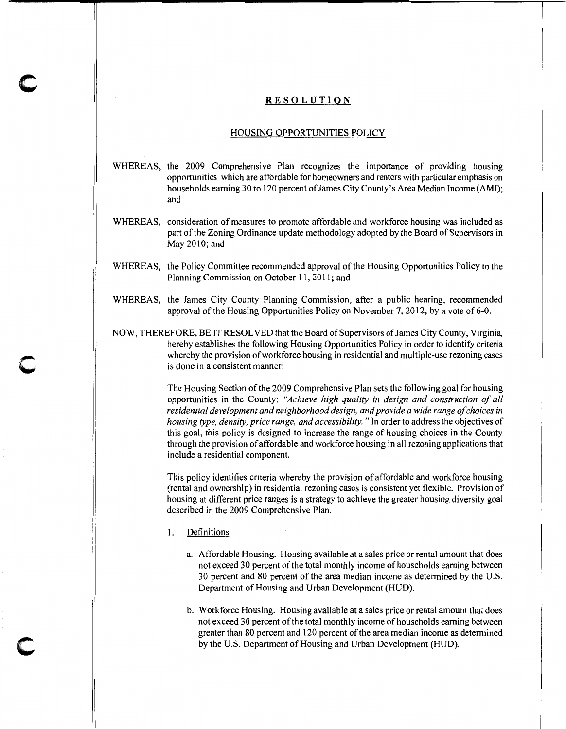### **RESOLUTION**

## HOUSING OPPORTUNITIES POLICY

- WHEREAS, the 2009 Comprehensive Plan recognizes the importance of providing housing opportunities which are affordable for homeowners and renters with particular emphasis on households earning 30 to 120 percent of James City County's Area Median Income (AMI); and
- WHEREAS, consideration of measures to promote affordable and workforce housing was included as part of the Zoning Ordinance update methodology adopted by the Board of Supervisors in May 2010; and
- WHEREAS, the Policy Committee recommended approval of the Housing Opportunities Policy to the Planning Commission on October 11, 2011; and
- WHEREAS, the James City County Planning Commission, after a public hearing, recommended approval of the Housing Opportunities Policy on November 7, 2012, by a vote of 6-0.
- NOW, THEREFORE, BE IT RESOLVED that the Board of Supervisors of James City County, Virginia, hereby establishes the following Housing Opportunities Policy in order to identify criteria whereby the provision of workforce housing in residential and multiple-use rezoning cases is done in a consistent manner:

The Housing Section of the 2009 Comprehensive Plan sets the following goal for housing opportunities in the County: *"Achieve high quality in design and construction of all residential development and neighborhood design, and provide a wide range of choices in housing type, density, price range, and accessibility.* "In order to address the objectives of this goal, this policy is designed to increase the range of housing choices in the County through the provision of affordable and workforce housing in all rezoning applications that include a residential component.

This policy identifies criteria whereby the provision of affordable and workforce housing (rental and ownership) in residential rezoning cases is consistent yet flexible. Provision of housing at different price ranges is a strategy to achieve the greater housing diversity goal described in the 2009 Comprehensive Plan.

1. Definitions

**c** 

**c** 

**c** 

- a. Affordable Housing. Housing available at a sales price or rental amount that does not exceed 30 percent of the total monthly income of households earning between 30 percent and 80 percent of the area median income as determined by the U.S. Department of Housing and Urban Development (HUD).
- b. Workforce Housing. Housing available at a sales price or rental amount that does not exceed 30 percent of the total monthly income of households earning between greater than 80 percent and 120 percent of the area median income as determined by the U.S. Department of Housing and Urban Development (HUD).

-----------------------'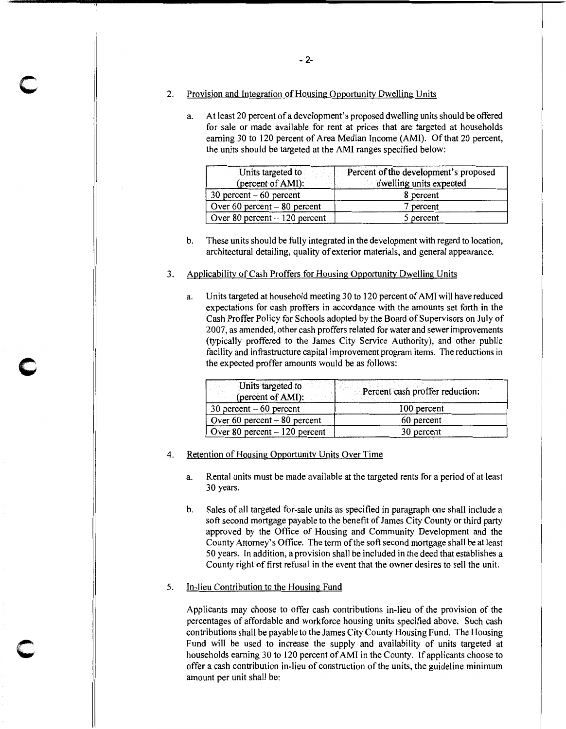2. Provision and Integration of Housing Opportunitv Dwelling Units

,,

c

c

a. At least 20 percent of a development's proposed dwelling units should be offered for sale or made available for rent at prices that are targeted at households earning 30 to 120 percent of Area Median Income (AMI). Of that 20 percent, the units should be targeted at the AMI ranges specified below:

| Units targeted to<br>(percent of AMI): | Percent of the development's proposed<br>dwelling units expected |
|----------------------------------------|------------------------------------------------------------------|
| $30$ percent $-60$ percent             | 8 percent                                                        |
| Over 60 percent $-80$ percent          | 7 percent                                                        |
| Over 80 percent $-120$ percent         | 5 percent                                                        |

b. These units should be fully integrated in the development with regard to location, architectural detailing, quality of exterior materials, and general appearance.

# 3. Applicability of Cash Proffers for Housing Opportunity Dwelling Units

a. Units targeted at household meeting 30 to 120 percent of AMI will have reduced expectations for cash proffers in accordance with the amounts set forth in the Cash Proffer Policy for Schools adopted by the Board of Supervisors on July of 2007, as amended, other cash proffers related for water and sewer improvements (typically proffered to the James City Service Authority), and other public facility and infrastructure capital improvement program items. The reductions in the expected proffer amounts would be as follows:

| Units targeted to<br>(percent of AMI): | Percent cash proffer reduction: |  |
|----------------------------------------|---------------------------------|--|
| $30$ percent $-60$ percent             | 100 percent                     |  |
| Over 60 percent $-80$ percent          | 60 percent                      |  |
| Over 80 percent $-120$ percent         | 30 percent                      |  |

### 4. Retention of Housing Opportunity Units Over Time

- a. Rental units must be made available at the targeted rents for a period of at least 30 years.
- b. Sales of all targeted for-sale units as specified in paragraph one shall include a soft second mortgage payable to the benefit of James City County or third party approved by the Office of Housing and Community Development and the County Attorney's Office. The term of the soft second mortgage shall be at least 50 years. In addition, a provision shall be included in the deed that establishes a County right of first refusal in the event that the owner desires to sell the unit.

#### 5. In-lieu Contribution to the Housing Fund

Applicants may choose to offer cash contributions in-lieu of the provision of the percentages of affordable and workforce housing units specified above. Such cash contributions shall be payable to the James City County Housing Fund. The Housing Fund will be used to increase the supply and availability of units targeted at households earning 30 to 120 percent of AMI in the County. If applicants choose to offer a cash contribution in-lieu of construction of the units, the guideline minimum amount per unit shall be: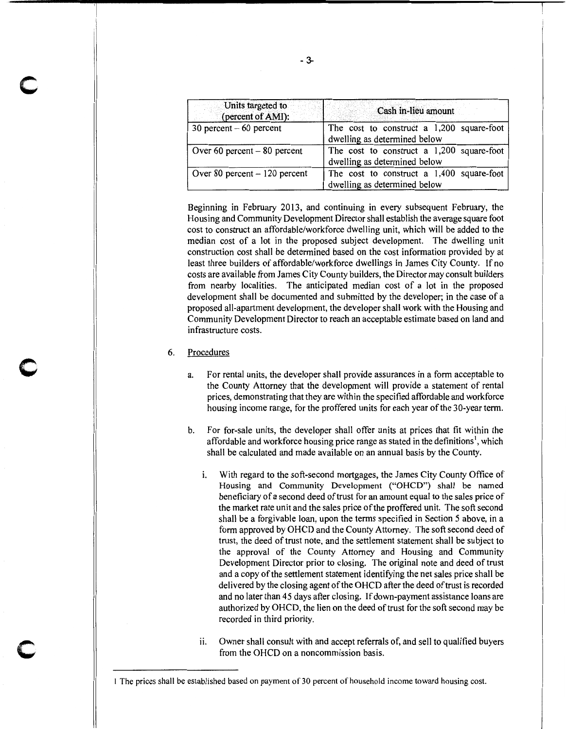| Units targeted to<br>(percent of AMI): | Cash in-lieu amount                                                         |  |  |  |
|----------------------------------------|-----------------------------------------------------------------------------|--|--|--|
| 30 percent $-60$ percent               | The cost to construct a 1,200 square-foot<br>dwelling as determined below   |  |  |  |
| Over 60 percent $-80$ percent          | The cost to construct a 1,200 square-foot<br>dwelling as determined below   |  |  |  |
| Over 80 percent $-120$ percent         | The cost to construct a $1,400$ square-foot<br>dwelling as determined below |  |  |  |

Beginning in February 2013, and continuing in every subsequent February, the Housing and Community Development Director shall establish the average square foot cost to construct an affordable/workforce dwelling unit, which will be added to the median cost of a lot in the proposed subject development. The dwelling unit construction cost shall be determined based on the cost information provided by at least three builders of affordable/workforce dwellings in James City County. If no costs are available from James City County builders, the Director may consult builders from nearby localities. The anticipated median cost of a lot in the proposed development shall be documented and submitted by the developer; in the case of a proposed all-apartment development, the developer shall work with the Housing and Community Development Director to reach an acceptable estimate based on land and infrastructure costs.

### 6. Procedures

c

c

c

- a. For rental units, the developer shall provide assurances in a form acceptable to the County Attorney that the development will provide a statement of rental prices, demonstrating that they are within the specified affordable and workforce housing income range, for the proffered units for each year of the 30-year term.
- b. For for-sale units, the developer shall offer units at prices that fit within the affordable and workforce housing price range as stated in the definitions<sup>1</sup>, which shall be calculated and made available on an annual basis by the County.
	- i. With regard to the soft-second mortgages, the James City County Office of Housing and Community Development ("OHCD") shall be named beneficiary of a second deed of trust for an amount equal to the sales price of the market rate unit and the sales price of the proffered unit. The soft second shall be a forgivable loan, upon the terms specified in Section 5 above, in a form approved by OHCD and the County Attorney. The soft second deed of trust, the deed of trust note, and the settlement statement shall be subject to the approval of the County Attorney and Housing and Community Development Director prior to closing. The original note and deed of trust and a copy of the settlement statement identifying the net sales price shall be delivered by the closing agent of the OHCD after the deed of trust is recorded and no later than 45 days after closing. If down-payment assistance loans are authorized by OHCD, the lien on the deed of trust for the soft second may be recorded in third priority.
	- ii. Owner shall consult with and accept referrals of, and sell to qualified buyers from the OHCD on a noncommission basis.

<sup>1</sup> The prices shall be established based on payment of 30 percent of household income toward housing cost.